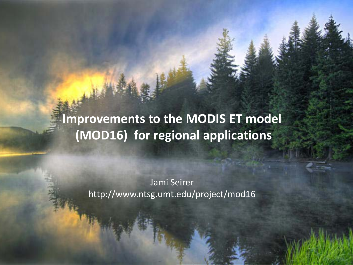### **Improvements to the MODIS ET model (MOD16) for regional applications**

Jami Seirer http://www.ntsg.umt.edu/project/mod16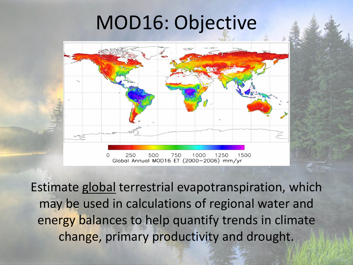### MOD16: Objective



Estimate global terrestrial evapotranspiration, which may be used in calculations of regional water and energy balances to help quantify trends in climate change, primary productivity and drought.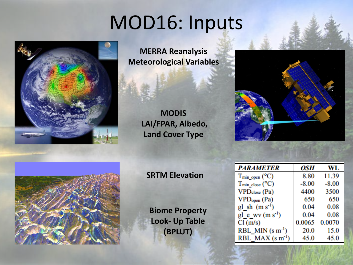### MOD16: Inputs



**MERRA Reanalysis Meteorological Variables**

> **MODIS LAI/FPAR, Albedo, Land Cover Type**





### **SRTM Elevation**

**Biome Property Look- Up Table (BPLUT)**

| <b>PARAMETER</b>                       | OSH     | WL      |
|----------------------------------------|---------|---------|
| $T_{\text{min\_open}}$ (°C)            | 8.80    | 11.39   |
| $T_{\text{min close}}$ ( $^{\circ}$ C) | $-8.00$ | $-8.00$ |
| <b>VPD</b> close (Pa)                  | 4400    | 3500    |
| VPD <sub>open</sub> (Pa)               | 650     | 650     |
| gl sh $(m s-1)$                        | 0.04    | 0.08    |
| gl e wv $(m s-1)$                      | 0.04    | 0.08    |
| Cl(m/s)                                | 0.0065  | 0.0070  |
| RBL MIN $(s m^{-1})$                   | 20.0    | 15.0    |
| RBL MAX $(s m-1)$                      | 45.0    | 45.0    |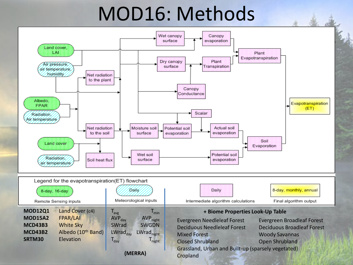### MOD16: Methods

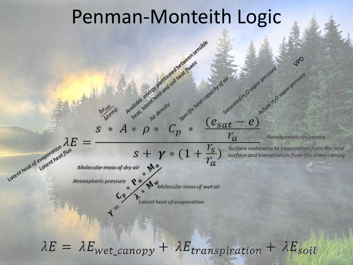# Penman-Monteith Logic<br>
S \*  $A * \rho * C_p$  surface resistance to the control of the surface and transmission

Aerodynamic resistance

 $S + \gamma * (1 + \frac{r_S}{r_S})$  Surface resistance to evaporation from the land

Actual H2O vapor pressure

f evaporation Molecular mass of dry air  $\mathcal{N}^{\alpha}$ 

Atmospheric pressure

Latent heat of evaporation

M Molecular mass of wet air

Latent heat of evaporation

 $\lambda E = \lambda E_{wet\_canopy} + \lambda E_{transpiration} + \lambda E_{soil}$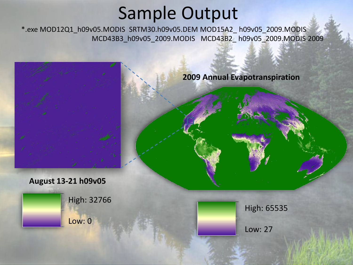### Sample Output

\*.exe MOD12Q1\_h09v05.MODIS SRTM30.h09v05.DEM MOD15A2\_ h09v05\_2009.MODIS MCD43B3\_h09v05\_2009.MODIS MCD43B2\_ h09v05\_2009.MODIS 2009





**2009 Annual Evapotranspiration**

High: 65535

Low: 27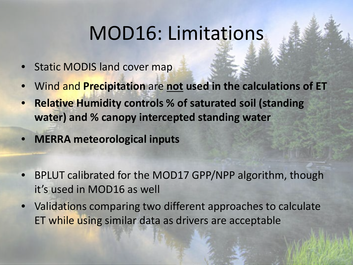### MOD16: Limitations

- Static MODIS land cover map
- Wind and **Precipitation** are **not used in the calculations of ET**
- **Relative Humidity controls % of saturated soil (standing water) and % canopy intercepted standing water**
- **MERRA meteorological inputs**
- BPLUT calibrated for the MOD17 GPP/NPP algorithm, though it's used in MOD16 as well
- Validations comparing two different approaches to calculate ET while using similar data as drivers are acceptable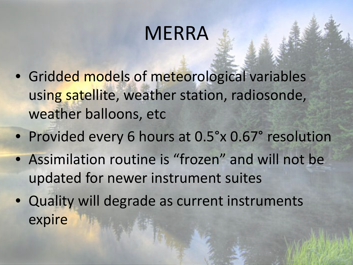## MERRA

- Gridded models of meteorological variables using satellite, weather station, radiosonde, weather balloons, etc
- Provided every 6 hours at 0.5°x 0.67° resolution
- Assimilation routine is "frozen" and will not be updated for newer instrument suites
- Quality will degrade as current instruments expire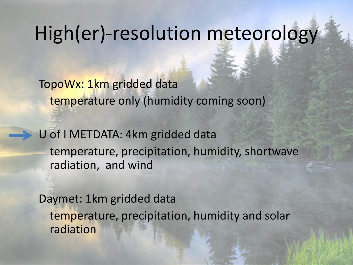### High(er)-resolution meteorology

TopoWx: 1km gridded data temperature only (humidity coming soon)

U of I METDATA: 4km gridded data temperature, precipitation, humidity, shortwave radiation, and wind

Daymet: 1km gridded data temperature, precipitation, humidity and solar radiation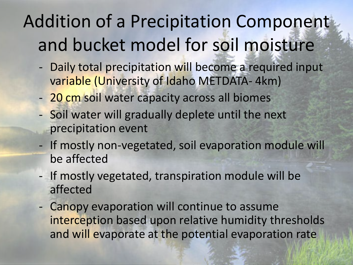# Addition of a Precipitation Component and bucket model for soil moisture

- Daily total precipitation will become a required input variable (University of Idaho METDATA- 4km)
- 20 cm soil water capacity across all biomes
- Soil water will gradually deplete until the next precipitation event
- If mostly non-vegetated, soil evaporation module will be affected
- If mostly vegetated, transpiration module will be affected
- Canopy evaporation will continue to assume interception based upon relative humidity thresholds and will evaporate at the potential evaporation rate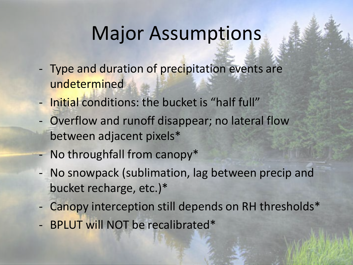### Major Assumptions

- Type and duration of precipitation events are undetermined
- Initial conditions: the bucket is "half full"
- Overflow and runoff disappear; no lateral flow between adjacent pixels\*
- No throughfall from canopy\*
- No snowpack (sublimation, lag between precip and bucket recharge, etc.)\*
- Canopy interception still depends on RH thresholds\*
- BPLUT will NOT be recalibrated\*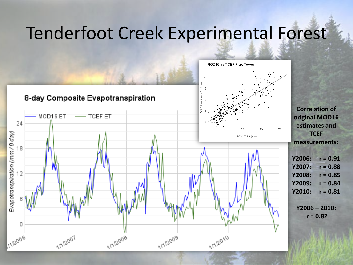### Tenderfoot Creek Experimental Forest

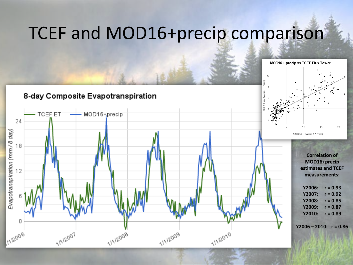### TCEF and MOD16+precip comparison

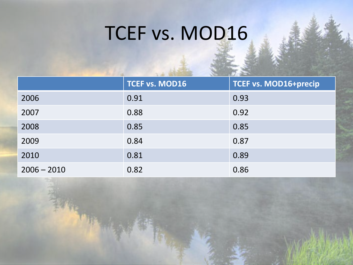## TCEF vs. MOD16

|               | <b>TCEF vs. MOD16</b> | TCEF vs. MOD16+precip |
|---------------|-----------------------|-----------------------|
| 2006          | 0.91                  | 0.93                  |
| 2007          | 0.88                  | 0.92                  |
| 2008          | 0.85                  | 0.85                  |
| 2009          | 0.84                  | 0.87                  |
| 2010          | 0.81                  | 0.89                  |
| $2006 - 2010$ | 0.82                  | 0.86                  |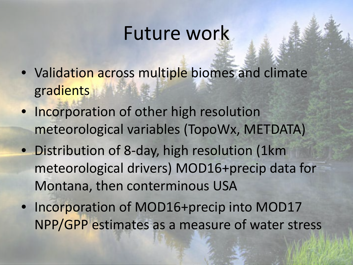### Future work

- Validation across multiple biomes and climate gradients
- Incorporation of other high resolution meteorological variables (TopoWx, METDATA)
- Distribution of 8-day, high resolution (1km meteorological drivers) MOD16+precip data for Montana, then conterminous USA
- Incorporation of MOD16+precip into MOD17 NPP/GPP estimates as a measure of water stress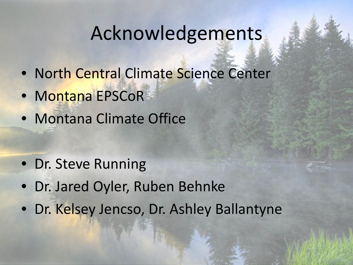### Acknowledgements

- North Central Climate Science Center
- Montana EPSCoR
- Montana Climate Office

- Dr. Steve Running
- Dr. Jared Oyler, Ruben Behnke
- Dr. Kelsey Jencso, Dr. Ashley Ballantyne